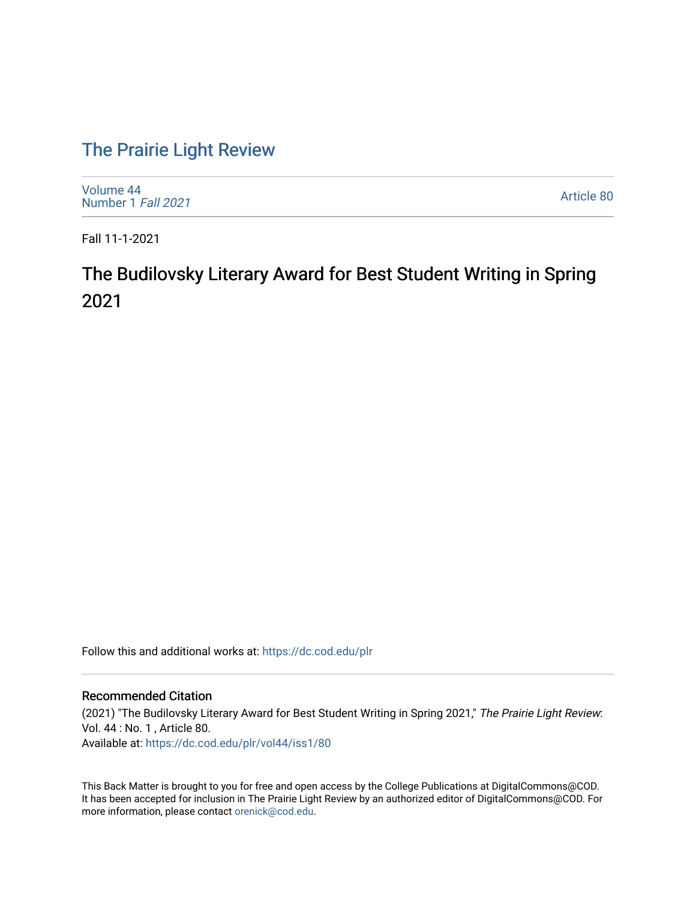## [The Prairie Light Review](https://dc.cod.edu/plr)

[Volume 44](https://dc.cod.edu/plr/vol44) [Number 1](https://dc.cod.edu/plr/vol44/iss1) Fall 2021

[Article 80](https://dc.cod.edu/plr/vol44/iss1/80) 

Fall 11-1-2021

## The Budilovsky Literary Award for Best Student Writing in Spring 2021

Follow this and additional works at: [https://dc.cod.edu/plr](https://dc.cod.edu/plr?utm_source=dc.cod.edu%2Fplr%2Fvol44%2Fiss1%2F80&utm_medium=PDF&utm_campaign=PDFCoverPages) 

## Recommended Citation

(2021) "The Budilovsky Literary Award for Best Student Writing in Spring 2021," The Prairie Light Review: Vol. 44 : No. 1 , Article 80. Available at: [https://dc.cod.edu/plr/vol44/iss1/80](https://dc.cod.edu/plr/vol44/iss1/80?utm_source=dc.cod.edu%2Fplr%2Fvol44%2Fiss1%2F80&utm_medium=PDF&utm_campaign=PDFCoverPages)

This Back Matter is brought to you for free and open access by the College Publications at DigitalCommons@COD. It has been accepted for inclusion in The Prairie Light Review by an authorized editor of DigitalCommons@COD. For more information, please contact [orenick@cod.edu.](mailto:orenick@cod.edu)